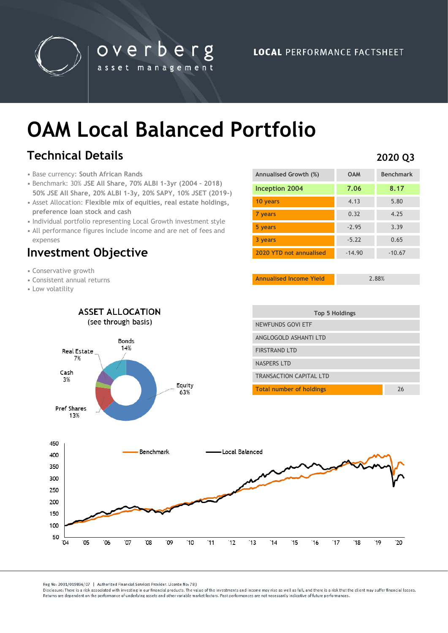

overberg asset management

# **OAM Local Balanced Portfolio**

## **Technical Details**

- Base currency: **South African Rands**
- Benchmark: 30% **JSE All Share, 70% ALBI 1-3yr (2004 – 2018) 50% JSE All Share, 20% ALBI 1-3y, 20% SAPY, 10% JSET (2019-)**
- Asset Allocation: **Flexible mix of equities, real estate holdings, preference loan stock and cash**
- Individual portfolio representing Local Growth investment style
- All performance figures include income and are net of fees and expenses

### **Investment Objective**

- Conservative growth
- Consistent annual returns
- Low volatility

| Annualised Growth (%)   | <b>OAM</b> | <b>Benchmark</b> |
|-------------------------|------------|------------------|
| Inception 2004          | 7.06       | 8.17             |
| 10 years                | 4.13       | 5.80             |
| 7 years                 | 0.32       | 4.25             |
| 5 years                 | $-2.95$    | 3.39             |
| 3 years                 | $-5.22$    | 0.65             |
| 2020 YTD not annualised | $-14.90$   | $-10.67$         |

**Annualised Income Yield** 2.88%



Reg No: 2001/019896/07 | Authorised Financial Services Provider, License No: 783

Disclosure: There is a risk associated with investing in our financial products. The value of the investments and income may rise as well as fall, and there is a risk that the client may suffer financial losses Beturns are dependent on the performance of underlying assets and other variable market factors. Past performances are not necessarily indicative of future performances.

#### **2020 Q3**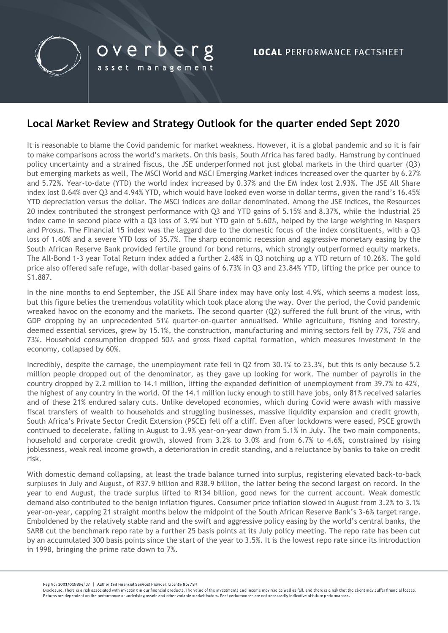

#### **Local Market Review and Strategy Outlook for the quarter ended Sept 2020**

overberg

asset management

It is reasonable to blame the Covid pandemic for market weakness. However, it is a global pandemic and so it is fair to make comparisons across the world's markets. On this basis, South Africa has fared badly. Hamstrung by continued policy uncertainty and a strained fiscus, the JSE underperformed not just global markets in the third quarter (Q3) but emerging markets as well, The MSCI World and MSCI Emerging Market indices increased over the quarter by 6.27% and 5.72%. Year-to-date (YTD) the world index increased by 0.37% and the EM index lost 2.93%. The JSE All Share index lost 0.64% over Q3 and 4.94% YTD, which would have looked even worse in dollar terms, given the rand's 16.45% YTD depreciation versus the dollar. The MSCI indices are dollar denominated. Among the JSE indices, the Resources 20 index contributed the strongest performance with Q3 and YTD gains of 5.15% and 8.37%, while the Industrial 25 index came in second place with a Q3 loss of 3.9% but YTD gain of 5.60%, helped by the large weighting in Naspers and Prosus. The Financial 15 index was the laggard due to the domestic focus of the index constituents, with a Q3 loss of 1.40% and a severe YTD loss of 35.7%. The sharp economic recession and aggressive monetary easing by the South African Reserve Bank provided fertile ground for bond returns, which strongly outperformed equity markets. The All-Bond 1-3 year Total Return index added a further 2.48% in Q3 notching up a YTD return of 10.26%. The gold price also offered safe refuge, with dollar-based gains of 6.73% in Q3 and 23.84% YTD, lifting the price per ounce to \$1.887.

In the nine months to end September, the JSE All Share index may have only lost 4.9%, which seems a modest loss, but this figure belies the tremendous volatility which took place along the way. Over the period, the Covid pandemic wreaked havoc on the economy and the markets. The second quarter (Q2) suffered the full brunt of the virus, with GDP dropping by an unprecedented 51% quarter-on-quarter annualised. While agriculture, fishing and forestry, deemed essential services, grew by 15.1%, the construction, manufacturing and mining sectors fell by 77%, 75% and 73%. Household consumption dropped 50% and gross fixed capital formation, which measures investment in the economy, collapsed by 60%.

Incredibly, despite the carnage, the unemployment rate fell in Q2 from 30.1% to 23.3%, but this is only because 5.2 million people dropped out of the denominator, as they gave up looking for work. The number of payrolls in the country dropped by 2.2 million to 14.1 million, lifting the expanded definition of unemployment from 39.7% to 42%, the highest of any country in the world. Of the 14.1 million lucky enough to still have jobs, only 81% received salaries and of these 21% endured salary cuts. Unlike developed economies, which during Covid were awash with massive fiscal transfers of wealth to households and struggling businesses, massive liquidity expansion and credit growth, South Africa's Private Sector Credit Extension (PSCE) fell off a cliff. Even after lockdowns were eased, PSCE growth continued to decelerate, falling in August to 3.9% year-on-year down from 5.1% in July. The two main components, household and corporate credit growth, slowed from 3.2% to 3.0% and from 6.7% to 4.6%, constrained by rising joblessness, weak real income growth, a deterioration in credit standing, and a reluctance by banks to take on credit risk.

With domestic demand collapsing, at least the trade balance turned into surplus, registering elevated back-to-back surpluses in July and August, of R37.9 billion and R38.9 billion, the latter being the second largest on record. In the year to end August, the trade surplus lifted to R134 billion, good news for the current account. Weak domestic demand also contributed to the benign inflation figures. Consumer price inflation slowed in August from 3.2% to 3.1% year-on-year, capping 21 straight months below the midpoint of the South African Reserve Bank's 3-6% target range. Emboldened by the relatively stable rand and the swift and aggressive policy easing by the world's central banks, the SARB cut the benchmark repo rate by a further 25 basis points at its July policy meeting. The repo rate has been cut by an accumulated 300 basis points since the start of the year to 3.5%. It is the lowest repo rate since its introduction in 1998, bringing the prime rate down to 7%.

Reg No: 2001/019896/07 | Authorised Financial Services Provider, License No: 783

Disclosure: There is a risk associated with investing in our financial products. The value of the investments and income may rise as well as fall, and there is a risk that the client may suffer financial losses Returns are dependent on the performance of underlying assets and other variable market factors. Past performances are not necessarily indicative of future performances.